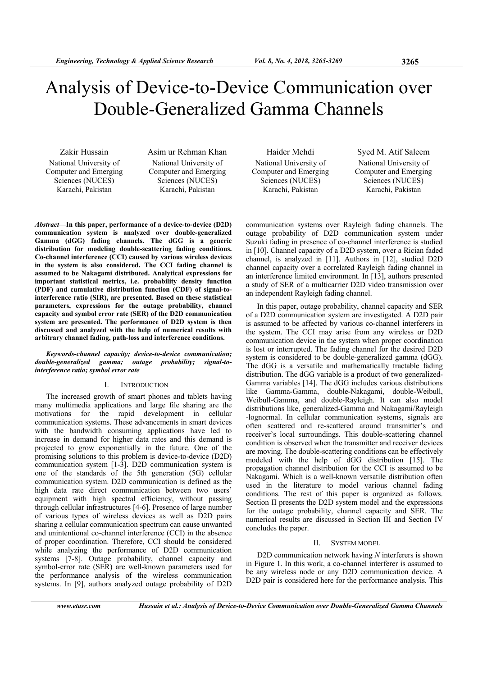# Analysis of Device-to-Device Communication over Double-Generalized Gamma Channels

Zakir Hussain National University of Computer and Emerging Sciences (NUCES) Karachi, Pakistan

Asim ur Rehman Khan National University of Computer and Emerging Sciences (NUCES) Karachi, Pakistan

*Abstract***—In this paper, performance of a device-to-device (D2D) communication system is analyzed over double-generalized Gamma (dGG) fading channels. The dGG is a generic distribution for modeling double-scattering fading conditions. Co-channel interference (CCI) caused by various wireless devices in the system is also considered. The CCI fading channel is assumed to be Nakagami distributed. Analytical expressions for important statistical metrics, i.e. probability density function (PDF) and cumulative distribution function (CDF) of signal-tointerference ratio (SIR), are presented. Based on these statistical parameters, expressions for the outage probability, channel capacity and symbol error rate (SER) of the D2D communication system are presented. The performance of D2D system is then discussed and analyzed with the help of numerical results with arbitrary channel fading, path-loss and interference conditions.** 

#### *Keywords-channel capacity; device-to-device communication; double-generalized gamma; outage probability; signal-tointerference ratio; symbol error rate*

#### I. INTRODUCTION

The increased growth of smart phones and tablets having many multimedia applications and large file sharing are the motivations for the rapid development in cellular communication systems. These advancements in smart devices with the bandwidth consuming applications have led to increase in demand for higher data rates and this demand is projected to grow exponentially in the future. One of the promising solutions to this problem is device-to-device (D2D) communication system [1-3]. D2D communication system is one of the standards of the 5th generation (5G) cellular communication system. D2D communication is defined as the high data rate direct communication between two users' equipment with high spectral efficiency, without passing through cellular infrastructures [4-6]. Presence of large number of various types of wireless devices as well as D2D pairs sharing a cellular communication spectrum can cause unwanted and unintentional co-channel interference (CCI) in the absence of proper coordination. Therefore, CCI should be considered while analyzing the performance of D2D communication systems [7-8]. Outage probability, channel capacity and symbol-error rate (SER) are well-known parameters used for the performance analysis of the wireless communication systems. In [9], authors analyzed outage probability of D2D

Haider Mehdi National University of Computer and Emerging Sciences (NUCES) Karachi, Pakistan

Syed M. Atif Saleem National University of Computer and Emerging Sciences (NUCES) Karachi, Pakistan

communication systems over Rayleigh fading channels. The outage probability of D2D communication system under Suzuki fading in presence of co-channel interference is studied in [10]. Channel capacity of a D2D system, over a Rician faded channel, is analyzed in [11]. Authors in [12], studied D2D channel capacity over a correlated Rayleigh fading channel in an interference limited environment. In [13], authors presented a study of SER of a multicarrier D2D video transmission over an independent Rayleigh fading channel.

In this paper, outage probability, channel capacity and SER of a D2D communication system are investigated. A D2D pair is assumed to be affected by various co-channel interferers in the system. The CCI may arise from any wireless or D2D communication device in the system when proper coordination is lost or interrupted. The fading channel for the desired D2D system is considered to be double-generalized gamma (dGG). The dGG is a versatile and mathematically tractable fading distribution. The dGG variable is a product of two generalized-Gamma variables [14]. The dGG includes various distributions like Gamma-Gamma, double-Nakagami, double-Weibull, Weibull-Gamma, and double-Rayleigh. It can also model distributions like, generalized-Gamma and Nakagami/Rayleigh -lognormal. In cellular communication systems, signals are often scattered and re-scattered around transmitter's and receiver's local surroundings. This double-scattering channel condition is observed when the transmitter and receiver devices are moving. The double-scattering conditions can be effectively modeled with the help of dGG distribution [15]. The propagation channel distribution for the CCI is assumed to be Nakagami. Which is a well-known versatile distribution often used in the literature to model various channel fading conditions. The rest of this paper is organized as follows. Section II presents the D2D system model and the expressions for the outage probability, channel capacity and SER. The numerical results are discussed in Section III and Section IV concludes the paper.

#### II. SYSTEM MODEL

D2D communication network having *N* interferers is shown in Figure 1. In this work, a co-channel interferer is assumed to be any wireless node or any D2D communication device. A D2D pair is considered here for the performance analysis. This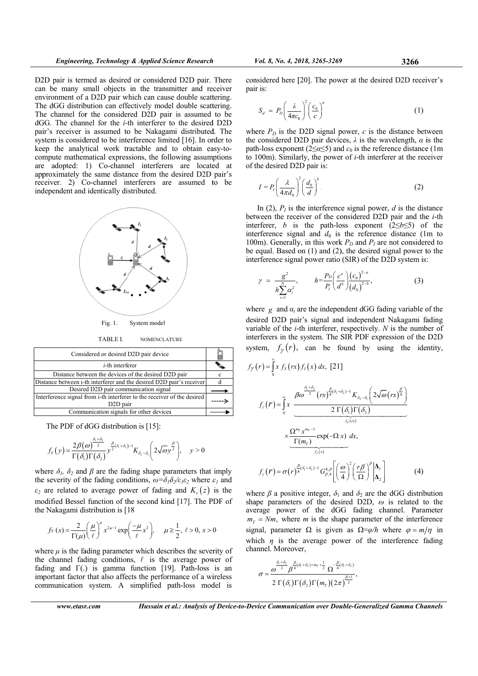D2D pair is termed as desired or considered D2D pair. There can be many small objects in the transmitter and receiver environment of a D2D pair which can cause double scattering. The dGG distribution can effectively model double scattering. The channel for the considered D2D pair is assumed to be  $dGG$ . The channel for the *i*-th interferer to the desired D2D pair's receiver is assumed to be Nakagami distributed. The system is considered to be interference limited [16]. In order to keep the analytical work tractable and to obtain easy-tocompute mathematical expressions, the following assumptions are adopted: 1) Co-channel interferers are located at approximately the same distance from the desired D2D pair's receiver. 2) Co-channel interferers are assumed to be independent and identically distributed.



**TABLE L NOMENCLATURE** 

| Considered or desired D2D pair device                                                           |  |
|-------------------------------------------------------------------------------------------------|--|
| $i$ -th interferer                                                                              |  |
| Distance between the devices of the desired D2D pair                                            |  |
| Distance between i-th interferer and the desired D2D pair's receiver                            |  |
| Desired D2D pair communication signal                                                           |  |
| Interference signal from i-th interferer to the receiver of the desired<br>D <sub>2D</sub> pair |  |
| Communication signals for other devices                                                         |  |

The PDF of dGG distribution is [15]:

$$
f_Y(y) = \frac{2\beta(\omega)^{\frac{\beta_1+\beta_2}{2}}}{\Gamma(\delta_1)\Gamma(\delta_2)} y^{\frac{\beta}{2}(\delta_1+\delta_2)-1} K_{\delta_2-\delta_1}\left(2\sqrt{\omega}y^{\frac{\beta}{2}}\right), \quad y > 0
$$

where  $\delta_l$ ,  $\delta_2$  and  $\beta$  are the fading shape parameters that imply the severity of the fading conditions,  $\omega = \delta_1 \delta_2 / \epsilon_1 \epsilon_2$  where  $\epsilon_1$  and  $\varepsilon_2$  are related to average power of fading and  $K_y(z)$  is the modified Bessel function of the second kind [17]. The PDF of the Nakagami distribution is [18]

$$
f_X(x) = \frac{2}{\Gamma(\mu)} \left(\frac{\mu}{\ell}\right)^{\mu} x^{2\mu-1} \exp\left(\frac{-\mu}{\ell} x^2\right), \quad \mu \ge \frac{1}{2}, \ell > 0, x > 0
$$

where  $\mu$  is the fading parameter which describes the severity of the channel fading conditions,  $\ell$  is the average power of fading and  $\Gamma(.)$  is gamma function [19]. Path-loss is an important factor that also affects the performance of a wireless communication system. A simplified path-loss model is

Hussain et al.: Analysis of Device-to-Device Communication over Double-Generalized Gamma Channels

considered here [20]. The power at the desired D2D receiver's pair is:

$$
S_d = P_D \left(\frac{\lambda}{4\pi c_0}\right)^2 \left(\frac{c_0}{c}\right)^a \tag{1}
$$

where  $P_D$  is the D2D signal power, c is the distance between the considered D2D pair devices,  $\lambda$  is the wavelength,  $\alpha$  is the path-loss exponent ( $2 \le \alpha \le 5$ ) and  $c_0$  is the reference distance (1m) to 100m). Similarly, the power of  $i$ -th interferer at the receiver of the desired D2D pair is:

$$
I = P_I \left(\frac{\lambda}{4\pi d_0}\right)^2 \left(\frac{d_0}{d}\right)^b.
$$
 (2)

In (2),  $P<sub>I</sub>$  is the interference signal power, d is the distance between the receiver of the considered D2D pair and the *i*-th interferer, *b* is the path-loss exponent  $(2 \le b \le 5)$  of the interference signal and  $d_0$  is the reference distance (1m to 100m). Generally, in this work  $P_D$  and  $P_I$  are not considered to be equal. Based on  $(1)$  and  $(2)$ , the desired signal power to the interference signal power ratio (SIR) of the D2D system is:

$$
\gamma = \frac{g^2}{h \sum_{i=1}^N \alpha_i^2}, \qquad h = \frac{P_D}{P_I} \bigg( \frac{c^a}{d^b} \bigg) \bigg( \frac{(c_0)^{2-a}}{(d_0)^{2-b}}, \qquad (3)
$$

where  $g$  and  $a_i$  are the independent dGG fading variable of the desired D2D pair's signal and independent Nakagami fading variable of the  $i$ -th interferer, respectively.  $N$  is the number of interferers in the system. The SIR PDF expression of the D2D system,  $f_{\nu}(r)$ , can be found by using the identity,

$$
f_{\gamma}(r) = \int_{0}^{\infty} x f_{S}(rx) f_{I}(x) dx, [21]
$$
  

$$
f_{\gamma}(r) = \int_{0}^{\infty} x \frac{\beta \omega^{\frac{\delta_{1} + \delta_{2}}{2}}(rx)^{\frac{\beta}{4}(\delta_{1} + \delta_{2}) - 1} K_{\delta_{2} - \delta_{1}} \left(2\sqrt{\omega}(rx)^{\frac{\beta}{4}}\right)}{2 \Gamma(\delta_{1}) \Gamma(\delta_{2})}
$$
  

$$
\times \frac{\Omega^{m_{\gamma}} x^{m_{\gamma} - 1}}{\frac{\Gamma(m_{\gamma})}{f_{I}(x)}} \exp(-\Omega x) dx,
$$
  

$$
f_{\gamma}(r) = \sigma(r)^{\frac{\beta}{4}(\delta_{1} + \delta_{2}) - 1} G_{\beta,4}^{4,\beta} \left[\left(\frac{\omega}{4}\right)^{2} \left(\frac{r\beta}{\Omega}\right)^{\beta} \middle| \Delta_{1}\right] \tag{4}
$$

where  $\beta$  a positive integer,  $\delta_1$  and  $\delta_2$  are the dGG distribution shape parameters of the desired D2D,  $\omega$  is related to the average power of the dGG fading channel. Parameter  $m<sub>r</sub> = Nm$ , where *m* is the shape parameter of the interference signal, parameter  $\Omega$  is given as  $\Omega = \varphi/h$  where  $\varphi = m/\eta$  in which  $\eta$  is the average power of the interference fading channel. Moreover,

$$
\sigma = \frac{\omega^{\frac{\delta_1+\delta_2}{2}}\beta^{\frac{\beta}{4}(\delta_1+\delta_2)+m_T+\frac{1}{2}}\Omega^{-\frac{\beta}{4}(\delta_1+\delta_2)}}{2\,\Gamma(\delta_1)\Gamma(\delta_2)\Gamma(m_T)(2\pi)^{\frac{\beta+1}{2}}},
$$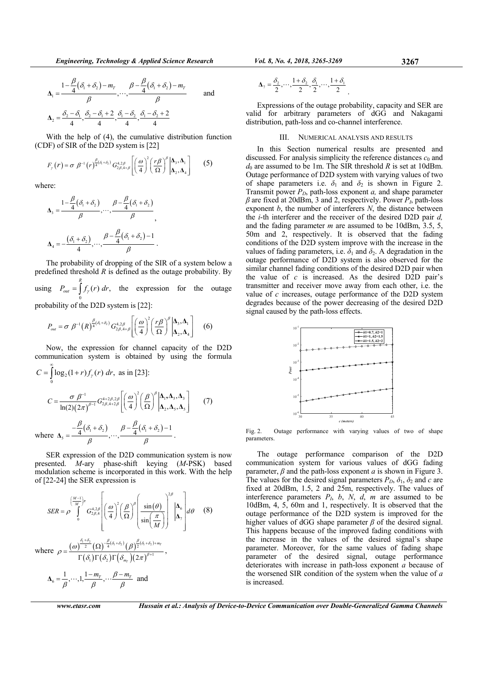$$
\Delta_1 = \frac{1 - \frac{\beta}{4}(\delta_1 + \delta_2) - m_T}{\beta}, \dots, \frac{\beta - \frac{\beta}{4}(\delta_1 + \delta_2) - m_T}{\beta} \quad \text{and} \quad \Delta_2 = \frac{\delta_2 - \delta_1}{4}, \frac{\delta_2 - \delta_1 + 2}{4}, \frac{\delta_1 - \delta_2}{4}, \frac{\delta_1 - \delta_2 + 2}{4}
$$

With the help of (4), the cumulative distribution function (CDF) of SIR of the D2D system is [22]

$$
F_{\gamma}(r) = \sigma \beta^{-1} (r)^{\frac{\beta}{4}(\delta_1 + \delta_2)} G_{2\beta, 4+\beta}^{4,2\beta} \left[ \left( \frac{\omega}{4} \right)^2 \left( \frac{r\beta}{\Omega} \right)^{\beta} \middle| \mathbf{\Delta}_3, \mathbf{\Delta}_4 \right] \tag{5}
$$

where:

$$
\Delta_3 = \frac{1 - \frac{\beta}{4}(\delta_1 + \delta_2)}{\beta}, \dots, \frac{\beta - \frac{\beta}{4}(\delta_1 + \delta_2)}{\beta},
$$

$$
\Delta_4 = -\frac{(\delta_1 + \delta_2)}{4}, \dots, \frac{\beta - \frac{\beta}{4}(\delta_1 + \delta_2) - 1}{\beta}.
$$

The probability of dropping of the SIR of a system below a predefined threshold *R* is defined as the outage probability. By using  $\boldsymbol{0}$  $P_{out} = \int_{0}^{R} f_{\gamma}(r) dr$ , the expression for the outage

probability of the D2D system is [22]:

$$
P_{out} = \sigma \beta^{-1}(R)^{\frac{\beta}{4}(\delta_1 + \delta_2)} G_{2\beta, 4+\beta}^{4,2\beta} \left[ \left( \frac{\omega}{4} \right)^2 \left( \frac{r\beta}{\Omega} \right)^{\beta} \middle| \mathbf{\Delta}_3, \mathbf{\Delta}_1 \right] \tag{6}
$$

Now, the expression for channel capacity of the D2D communication system is obtained by using the formula

$$
C = \int_{0}^{\infty} \log_2(1+r) f_\gamma(r) dr, \text{ as in [23]:}
$$
  
\n
$$
C = \frac{\sigma \beta^{-1}}{\ln(2)(2\pi)^{\beta-1}} G_{2\beta,4+2\beta}^{4+2\beta,2\beta} \left[ \left( \frac{\omega}{4} \right)^2 \left( \frac{\beta}{\Omega} \right)^{\beta} \Big| \Delta_1, \Delta_5, \Delta_3 \right] \tag{7}
$$
  
\nwhere  $\Delta_5 = \frac{-\frac{\beta}{4} (\delta_1 + \delta_2)}{\beta}, \dots, \frac{\beta - \frac{\beta}{4} (\delta_1 + \delta_2) - 1}{\beta}.$ 

SER expression of the D2D communication system is now presented. *M*-ary phase-shift keying (*M*-PSK) based modulation scheme is incorporated in this work. With the help of [22-24] the SER expression is

$$
SER = \rho \int_{0}^{\left(\frac{M-1}{M}\right)\pi} G_{2\beta,4}^{4,2\beta} \left[ \left(\frac{\omega}{4}\right)^{2} \left(\frac{\beta}{\Omega}\right)^{\beta} \left(\frac{\sin(\theta)}{\sin\left(\frac{\pi}{M}\right)}\right)^{2\beta} \left|\Delta_{6}\right| d\theta \quad (8)
$$
  
where 
$$
\rho = \frac{(\omega)^{\frac{\delta_{1}+\delta_{2}}{2}} (\Omega)^{-\frac{\beta}{4}(\delta_{1}+\delta_{2})} (\beta)^{\frac{\beta}{2}(\delta_{1}+\delta_{2})+m_{r}}}{\Gamma(\delta_{1})\Gamma(\delta_{2})\Gamma(\delta_{m_{r}})(2\pi)^{\beta+1}},
$$

$$
\Delta_{6} = \frac{1}{\beta}, \cdots, 1, \frac{1-m_{r}}{\beta}, \cdots, \frac{\beta-m_{r}}{\beta} \text{ and}
$$

*www.etasr.com Hussain et al.: Analysis of Device-to-Device Communication over Double-Generalized Gamma Channels* 

$$
\Delta_7 = \frac{\delta_2}{2}, \cdots, \frac{1+\delta_2}{2}, \frac{\delta_1}{2}, \cdots, \frac{1+\delta_1}{2}.
$$

Expressions of the outage probability, capacity and SER are valid for arbitrary parameters of dGG and Nakagami distribution, path-loss and co-channel interference.

### III. NUMERICAL ANALYSIS AND RESULTS

In this Section numerical results are presented and discussed. For analysis simplicity the reference distances  $c_0$  and  $d_0$  are assumed to be 1m. The SIR threshold *R* is set at 10dBm. Outage performance of D2D system with varying values of two of shape parameters i.e.  $\delta_1$  and  $\delta_2$  is shown in Figure 2. Transmit power  $P_D$ , path-loss exponent  $a$ , and shape parameter *β* are fixed at 20dBm, 3 and 2, respectively. Power *PI*, path-loss exponent *b*, the number of interferers *N*, the distance between the *i*-th interferer and the receiver of the desired D2D pair *d,* and the fading parameter *m* are assumed to be 10dBm, 3.5, 5, 50m and 2, respectively. It is observed that the fading conditions of the D2D system improve with the increase in the values of fading parameters, i.e.  $\delta_1$  and  $\delta_2$ . A degradation in the outage performance of D2D system is also observed for the similar channel fading conditions of the desired D2D pair when the value of *c* is increased. As the desired D2D pair's transmitter and receiver move away from each other, i.e. the value of *c* increases, outage performance of the D2D system degrades because of the power decreasing of the desired D2D signal caused by the path-loss effects.



Fig. 2. Outage performance with varying values of two of shape parameters.

The outage performance comparison of the D2D communication system for various values of dGG fading parameter, *β* and the path-loss exponent *a* is shown in Figure 3. The values for the desired signal parameters  $P_D$ ,  $\delta_1$ ,  $\delta_2$  and *c* are fixed at 20dBm, 1.5, 2 and 25m, respectively. The values of interference parameters  $P_l$ ,  $b$ ,  $N$ ,  $d$ ,  $m$  are assumed to be 10dBm, 4, 5, 60m and 1, respectively. It is observed that the outage performance of the D2D system is improved for the higher values of dGG shape parameter *β* of the desired signal. This happens because of the improved fading conditions with the increase in the values of the desired signal's shape parameter. Moreover, for the same values of fading shape parameter of the desired signal, outage performance deteriorates with increase in path-loss exponent *a* because of the worsened SIR condition of the system when the value of *a* is increased.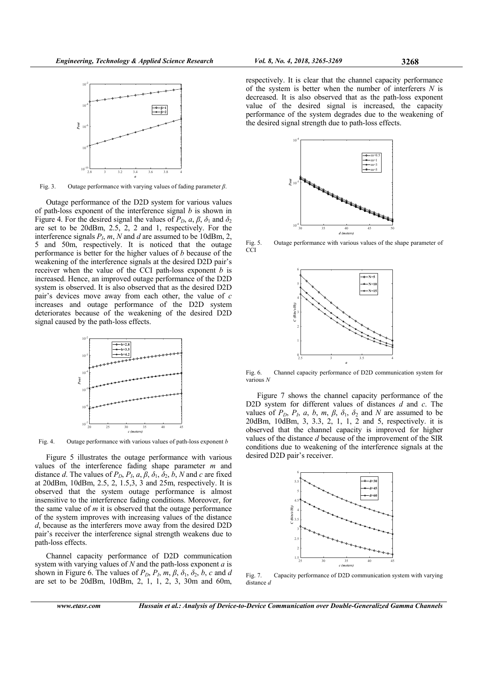

Fig. 3. Outage performance with varying values of fading parameter *β*.

Outage performance of the D2D system for various values of path-loss exponent of the interference signal *b* is shown in Figure 4. For the desired signal the values of  $P_D$ ,  $a, \beta, \delta_1$  and  $\delta_2$ are set to be 20dBm, 2.5, 2, 2 and 1, respectively. For the interference signals  $P_l$ ,  $m$ ,  $N$  and  $d$  are assumed to be 10dBm, 2, 5 and 50m, respectively. It is noticed that the outage performance is better for the higher values of *b* because of the weakening of the interference signals at the desired D2D pair's receiver when the value of the CCI path-loss exponent *b* is increased. Hence, an improved outage performance of the D2D system is observed. It is also observed that as the desired D2D pair's devices move away from each other, the value of *c* increases and outage performance of the D2D system deteriorates because of the weakening of the desired D2D signal caused by the path-loss effects.



Fig. 4. Outage performance with various values of path-loss exponent *b*

Figure 5 illustrates the outage performance with various values of the interference fading shape parameter *m* and distance *d*. The values of  $P_D$ ,  $P_I$ ,  $a, \beta, \delta_1, \delta_2, b, N$  and *c* are fixed at 20dBm, 10dBm, 2.5, 2, 1.5,3, 3 and 25m, respectively. It is observed that the system outage performance is almost insensitive to the interference fading conditions. Moreover, for the same value of *m* it is observed that the outage performance of the system improves with increasing values of the distance *d*, because as the interferers move away from the desired D2D pair's receiver the interference signal strength weakens due to path-loss effects.

Channel capacity performance of D2D communication system with varying values of *N* and the path-loss exponent *a* is shown in Figure 6. The values of  $P_D$ ,  $P_I$ ,  $m$ ,  $\beta$ ,  $\delta_1$ ,  $\delta_2$ ,  $b$ ,  $c$  and  $d$ are set to be 20dBm, 10dBm, 2, 1, 1, 2, 3, 30m and 60m,

respectively. It is clear that the channel capacity performance of the system is better when the number of interferers *N* is decreased. It is also observed that as the path-loss exponent value of the desired signal is increased, the capacity performance of the system degrades due to the weakening of the desired signal strength due to path-loss effects.



Fig. 5. Outage performance with various values of the shape parameter of **CCI** 



Fig. 6. Channel capacity performance of D2D communication system for various *N* 

Figure 7 shows the channel capacity performance of the D2D system for different values of distances *d* and *c*. The values of  $P_D$ ,  $P_L$ ,  $a$ ,  $b$ ,  $m$ ,  $\beta$ ,  $\delta_1$ ,  $\delta_2$  and  $N$  are assumed to be 20dBm, 10dBm, 3, 3.3, 2, 1, 1, 2 and 5, respectively. it is observed that the channel capacity is improved for higher values of the distance *d* because of the improvement of the SIR conditions due to weakening of the interference signals at the desired D2D pair's receiver.



Fig. 7. Capacity performance of D2D communication system with varying distance *d*